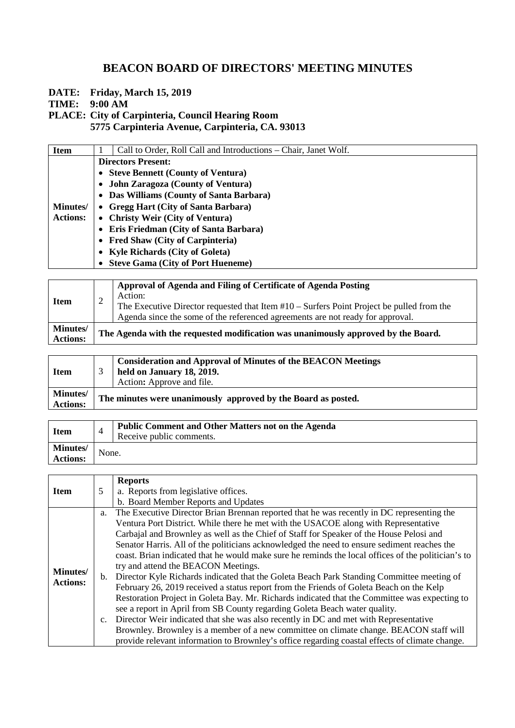**DATE: Friday, March 15, 2019**

**TIME: 9:00 AM**

#### **PLACE: City of Carpinteria, Council Hearing Room**

**5775 Carpinteria Avenue, Carpinteria, CA. 93013**

| <b>Item</b>      | Call to Order, Roll Call and Introductions – Chair, Janet Wolf. |  |  |
|------------------|-----------------------------------------------------------------|--|--|
|                  | <b>Directors Present:</b>                                       |  |  |
|                  | • Steve Bennett (County of Ventura)                             |  |  |
|                  | <b>John Zaragoza (County of Ventura)</b><br>$\bullet$           |  |  |
|                  | Das Williams (County of Santa Barbara)<br>$\bullet$             |  |  |
| <b>Minutes</b> / | • Gregg Hart (City of Santa Barbara)                            |  |  |
| <b>Actions:</b>  | • Christy Weir (City of Ventura)                                |  |  |
|                  | Eris Friedman (City of Santa Barbara)                           |  |  |
|                  | Fred Shaw (City of Carpinteria)                                 |  |  |
|                  | • Kyle Richards (City of Goleta)                                |  |  |
|                  | • Steve Gama (City of Port Hueneme)                             |  |  |

| <b>Item</b>                        | ↵ | Approval of Agenda and Filing of Certificate of Agenda Posting<br>Action:<br>The Executive Director requested that Item $#10 -$ Surfers Point Project be pulled from the<br>Agenda since the some of the referenced agreements are not ready for approval. |
|------------------------------------|---|------------------------------------------------------------------------------------------------------------------------------------------------------------------------------------------------------------------------------------------------------------|
| <b>Minutes/</b><br><b>Actions:</b> |   | The Agenda with the requested modification was unanimously approved by the Board.                                                                                                                                                                          |

| <b>Item</b>                        | <b>Consideration and Approval of Minutes of the BEACON Meetings</b><br>held on January 18, 2019.<br>Action: Approve and file. |  |
|------------------------------------|-------------------------------------------------------------------------------------------------------------------------------|--|
| <b>Minutes/</b><br><b>Actions:</b> | The minutes were unanimously approved by the Board as posted.                                                                 |  |

| <b>Item</b>                        |       | <b>Public Comment and Other Matters not on the Agenda</b><br>Receive public comments. |
|------------------------------------|-------|---------------------------------------------------------------------------------------|
| <b>Minutes/</b><br><b>Actions:</b> | None. |                                                                                       |

|                 |    | <b>Reports</b>                                                                                     |
|-----------------|----|----------------------------------------------------------------------------------------------------|
| <b>Item</b>     | 5  | a. Reports from legislative offices.                                                               |
|                 |    | b. Board Member Reports and Updates                                                                |
|                 | a. | The Executive Director Brian Brennan reported that he was recently in DC representing the          |
|                 |    | Ventura Port District. While there he met with the USACOE along with Representative                |
|                 |    | Carbajal and Brownley as well as the Chief of Staff for Speaker of the House Pelosi and            |
|                 |    | Senator Harris. All of the politicians acknowledged the need to ensure sediment reaches the        |
|                 |    | coast. Brian indicated that he would make sure he reminds the local offices of the politician's to |
| <b>Minutes/</b> |    | try and attend the BEACON Meetings.                                                                |
| <b>Actions:</b> |    | b. Director Kyle Richards indicated that the Goleta Beach Park Standing Committee meeting of       |
|                 |    | February 26, 2019 received a status report from the Friends of Goleta Beach on the Kelp            |
|                 |    | Restoration Project in Goleta Bay. Mr. Richards indicated that the Committee was expecting to      |
|                 |    | see a report in April from SB County regarding Goleta Beach water quality.                         |
|                 |    | c. Director Weir indicated that she was also recently in DC and met with Representative            |
|                 |    | Brownley. Brownley is a member of a new committee on climate change. BEACON staff will             |
|                 |    | provide relevant information to Brownley's office regarding coastal effects of climate change.     |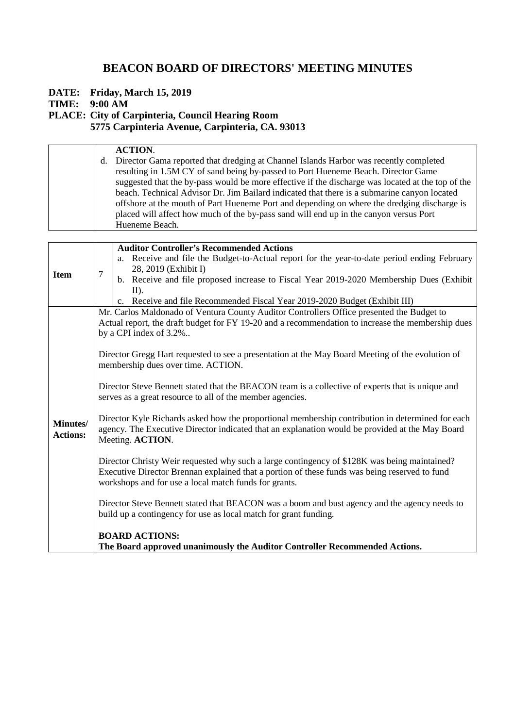**DATE: Friday, March 15, 2019**

**TIME: 9:00 AM**

**PLACE: City of Carpinteria, Council Hearing Room**

**5775 Carpinteria Avenue, Carpinteria, CA. 93013**

| <b>Auditor Controller's Recommended Actions</b><br>a. Receive and file the Budget-to-Actual report for the year-to-date period ending February<br>28, 2019 (Exhibit I)<br>$\overline{7}$<br><b>Item</b><br>b. Receive and file proposed increase to Fiscal Year 2019-2020 Membership Dues (Exhibit<br>$II$ ).<br>c. Receive and file Recommended Fiscal Year 2019-2020 Budget (Exhibit III)<br>Mr. Carlos Maldonado of Ventura County Auditor Controllers Office presented the Budget to<br>Actual report, the draft budget for FY 19-20 and a recommendation to increase the membership dues<br>by a CPI index of 3.2%<br>Director Gregg Hart requested to see a presentation at the May Board Meeting of the evolution of<br>membership dues over time. ACTION.<br>Director Steve Bennett stated that the BEACON team is a collective of experts that is unique and<br>serves as a great resource to all of the member agencies.<br>Director Kyle Richards asked how the proportional membership contribution in determined for each<br><b>Minutes/</b><br>agency. The Executive Director indicated that an explanation would be provided at the May Board<br><b>Actions:</b><br>Meeting. ACTION.<br>Director Christy Weir requested why such a large contingency of \$128K was being maintained?<br>Executive Director Brennan explained that a portion of these funds was being reserved to fund<br>workshops and for use a local match funds for grants.<br>Director Steve Bennett stated that BEACON was a boom and bust agency and the agency needs to<br>build up a contingency for use as local match for grant funding.<br><b>BOARD ACTIONS:</b><br>The Board approved unanimously the Auditor Controller Recommended Actions. | <b>ACTION.</b><br>d. Director Gama reported that dredging at Channel Islands Harbor was recently completed<br>resulting in 1.5M CY of sand being by-passed to Port Hueneme Beach. Director Game<br>suggested that the by-pass would be more effective if the discharge was located at the top of the<br>beach. Technical Advisor Dr. Jim Bailard indicated that there is a submarine canyon located<br>offshore at the mouth of Part Hueneme Port and depending on where the dredging discharge is<br>placed will affect how much of the by-pass sand will end up in the canyon versus Port<br>Hueneme Beach. |  |
|------------------------------------------------------------------------------------------------------------------------------------------------------------------------------------------------------------------------------------------------------------------------------------------------------------------------------------------------------------------------------------------------------------------------------------------------------------------------------------------------------------------------------------------------------------------------------------------------------------------------------------------------------------------------------------------------------------------------------------------------------------------------------------------------------------------------------------------------------------------------------------------------------------------------------------------------------------------------------------------------------------------------------------------------------------------------------------------------------------------------------------------------------------------------------------------------------------------------------------------------------------------------------------------------------------------------------------------------------------------------------------------------------------------------------------------------------------------------------------------------------------------------------------------------------------------------------------------------------------------------------------------------------------------------------------------------------------------------------------------|---------------------------------------------------------------------------------------------------------------------------------------------------------------------------------------------------------------------------------------------------------------------------------------------------------------------------------------------------------------------------------------------------------------------------------------------------------------------------------------------------------------------------------------------------------------------------------------------------------------|--|
|                                                                                                                                                                                                                                                                                                                                                                                                                                                                                                                                                                                                                                                                                                                                                                                                                                                                                                                                                                                                                                                                                                                                                                                                                                                                                                                                                                                                                                                                                                                                                                                                                                                                                                                                          |                                                                                                                                                                                                                                                                                                                                                                                                                                                                                                                                                                                                               |  |
|                                                                                                                                                                                                                                                                                                                                                                                                                                                                                                                                                                                                                                                                                                                                                                                                                                                                                                                                                                                                                                                                                                                                                                                                                                                                                                                                                                                                                                                                                                                                                                                                                                                                                                                                          |                                                                                                                                                                                                                                                                                                                                                                                                                                                                                                                                                                                                               |  |
|                                                                                                                                                                                                                                                                                                                                                                                                                                                                                                                                                                                                                                                                                                                                                                                                                                                                                                                                                                                                                                                                                                                                                                                                                                                                                                                                                                                                                                                                                                                                                                                                                                                                                                                                          |                                                                                                                                                                                                                                                                                                                                                                                                                                                                                                                                                                                                               |  |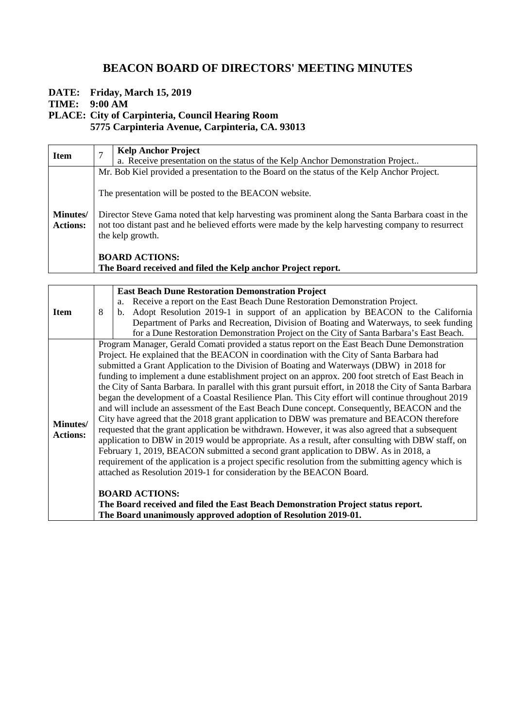**DATE: Friday, March 15, 2019**

**TIME: 9:00 AM**

**PLACE: City of Carpinteria, Council Hearing Room**

**5775 Carpinteria Avenue, Carpinteria, CA. 93013**

| <b>Item</b>                        |                       | <b>Kelp Anchor Project</b>                                                                                                                                                                                                                                                            |  |  |
|------------------------------------|-----------------------|---------------------------------------------------------------------------------------------------------------------------------------------------------------------------------------------------------------------------------------------------------------------------------------|--|--|
|                                    |                       | a. Receive presentation on the status of the Kelp Anchor Demonstration Project                                                                                                                                                                                                        |  |  |
|                                    |                       | Mr. Bob Kiel provided a presentation to the Board on the status of the Kelp Anchor Project.                                                                                                                                                                                           |  |  |
| <b>Minutes/</b><br><b>Actions:</b> |                       | The presentation will be posted to the BEACON website.<br>Director Steve Gama noted that kelp harvesting was prominent along the Santa Barbara coast in the<br>not too distant past and he believed efforts were made by the kelp harvesting company to resurrect<br>the kelp growth. |  |  |
|                                    | <b>BOARD ACTIONS:</b> |                                                                                                                                                                                                                                                                                       |  |  |
|                                    |                       | The Board received and filed the Kelp anchor Project report.                                                                                                                                                                                                                          |  |  |

|                 |                                                                                                          | <b>East Beach Dune Restoration Demonstration Project</b>                                          |  |
|-----------------|----------------------------------------------------------------------------------------------------------|---------------------------------------------------------------------------------------------------|--|
| <b>Item</b>     |                                                                                                          | Receive a report on the East Beach Dune Restoration Demonstration Project.<br>a.                  |  |
|                 | 8                                                                                                        | Adopt Resolution 2019-1 in support of an application by BEACON to the California<br>b.            |  |
|                 |                                                                                                          | Department of Parks and Recreation, Division of Boating and Waterways, to seek funding            |  |
|                 |                                                                                                          | for a Dune Restoration Demonstration Project on the City of Santa Barbara's East Beach.           |  |
|                 |                                                                                                          | Program Manager, Gerald Comati provided a status report on the East Beach Dune Demonstration      |  |
|                 |                                                                                                          | Project. He explained that the BEACON in coordination with the City of Santa Barbara had          |  |
|                 |                                                                                                          | submitted a Grant Application to the Division of Boating and Waterways (DBW) in 2018 for          |  |
|                 |                                                                                                          | funding to implement a dune establishment project on an approx. 200 foot stretch of East Beach in |  |
|                 | the City of Santa Barbara. In parallel with this grant pursuit effort, in 2018 the City of Santa Barbara |                                                                                                   |  |
|                 | began the development of a Coastal Resilience Plan. This City effort will continue throughout 2019       |                                                                                                   |  |
|                 |                                                                                                          | and will include an assessment of the East Beach Dune concept. Consequently, BEACON and the       |  |
| Minutes/        |                                                                                                          | City have agreed that the 2018 grant application to DBW was premature and BEACON therefore        |  |
| <b>Actions:</b> |                                                                                                          | requested that the grant application be withdrawn. However, it was also agreed that a subsequent  |  |
|                 |                                                                                                          | application to DBW in 2019 would be appropriate. As a result, after consulting with DBW staff, on |  |
|                 | February 1, 2019, BEACON submitted a second grant application to DBW. As in 2018, a                      |                                                                                                   |  |
|                 | requirement of the application is a project specific resolution from the submitting agency which is      |                                                                                                   |  |
|                 |                                                                                                          | attached as Resolution 2019-1 for consideration by the BEACON Board.                              |  |
|                 |                                                                                                          |                                                                                                   |  |
|                 |                                                                                                          | <b>BOARD ACTIONS:</b>                                                                             |  |
|                 |                                                                                                          | The Board received and filed the East Beach Demonstration Project status report.                  |  |
|                 |                                                                                                          | The Board unanimously approved adoption of Resolution 2019-01.                                    |  |